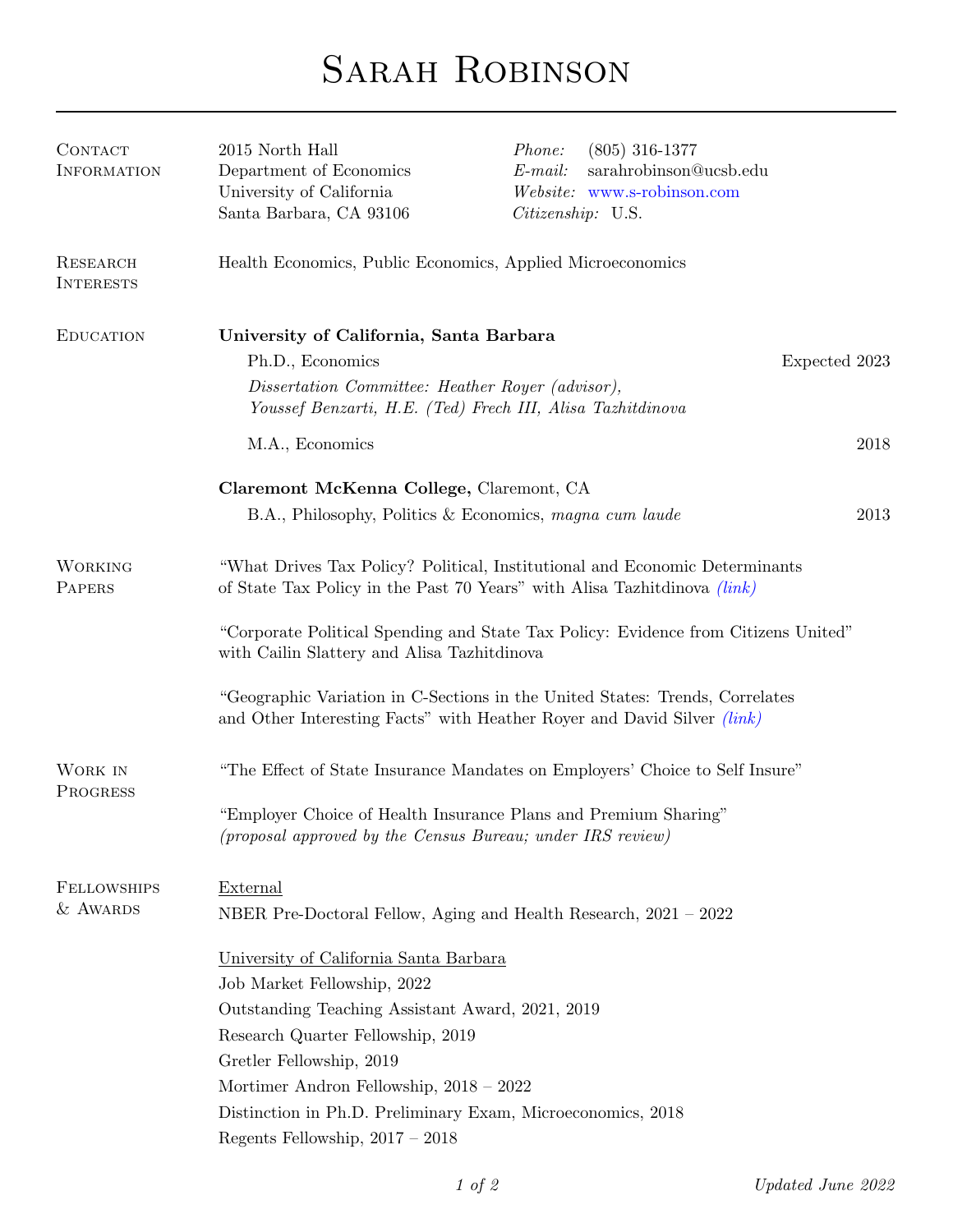## SARAH ROBINSON

| CONTACT<br><b>INFORMATION</b>       | 2015 North Hall<br>Department of Economics<br>University of California<br>Santa Barbara, CA 93106                                                                                                                                                                                                                                           | $(805)$ 316-1377<br><i>Phone:</i><br>$E$ -mail:<br>sarahrobinson@ucsb.edu<br>Website: www.s-robinson.com<br>Citizenship: U.S. |      |  |
|-------------------------------------|---------------------------------------------------------------------------------------------------------------------------------------------------------------------------------------------------------------------------------------------------------------------------------------------------------------------------------------------|-------------------------------------------------------------------------------------------------------------------------------|------|--|
| <b>RESEARCH</b><br><b>INTERESTS</b> | Health Economics, Public Economics, Applied Microeconomics                                                                                                                                                                                                                                                                                  |                                                                                                                               |      |  |
| <b>EDUCATION</b>                    | University of California, Santa Barbara<br>Ph.D., Economics<br>Dissertation Committee: Heather Royer (advisor),                                                                                                                                                                                                                             | Expected 2023<br>Youssef Benzarti, H.E. (Ted) Frech III, Alisa Tazhitdinova                                                   |      |  |
|                                     | M.A., Economics                                                                                                                                                                                                                                                                                                                             |                                                                                                                               | 2018 |  |
|                                     | Claremont McKenna College, Claremont, CA                                                                                                                                                                                                                                                                                                    | B.A., Philosophy, Politics & Economics, magna cum laude                                                                       | 2013 |  |
| <b>WORKING</b><br>PAPERS            | "What Drives Tax Policy? Political, Institutional and Economic Determinants<br>of State Tax Policy in the Past 70 Years" with Alisa Tazhitdinova <i>(link)</i>                                                                                                                                                                              |                                                                                                                               |      |  |
|                                     | "Corporate Political Spending and State Tax Policy: Evidence from Citizens United"<br>with Cailin Slattery and Alisa Tazhitdinova                                                                                                                                                                                                           |                                                                                                                               |      |  |
|                                     | "Geographic Variation in C-Sections in the United States: Trends, Correlates<br>and Other Interesting Facts" with Heather Royer and David Silver <i>(link)</i>                                                                                                                                                                              |                                                                                                                               |      |  |
| WORK IN<br>PROGRESS                 |                                                                                                                                                                                                                                                                                                                                             | "The Effect of State Insurance Mandates on Employers' Choice to Self Insure"                                                  |      |  |
|                                     | (proposal approved by the Census Bureau; under IRS review)                                                                                                                                                                                                                                                                                  | "Employer Choice of Health Insurance Plans and Premium Sharing"                                                               |      |  |
| <b>FELLOWSHIPS</b><br>& AWARDS      | External                                                                                                                                                                                                                                                                                                                                    | NBER Pre-Doctoral Fellow, Aging and Health Research, 2021 – 2022                                                              |      |  |
|                                     | University of California Santa Barbara<br>Job Market Fellowship, 2022<br>Outstanding Teaching Assistant Award, 2021, 2019<br>Research Quarter Fellowship, 2019<br>Gretler Fellowship, 2019<br>Mortimer Andron Fellowship, $2018 - 2022$<br>Distinction in Ph.D. Preliminary Exam, Microeconomics, 2018<br>Regents Fellowship, $2017 - 2018$ |                                                                                                                               |      |  |